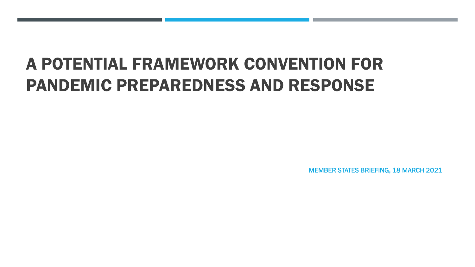# A POTENTIAL FRAMEWORK CONVENTION FOR PANDEMIC PREPAREDNESS AND RESPONSE

MEMBER STATES BRIEFING, 18 MARCH 2021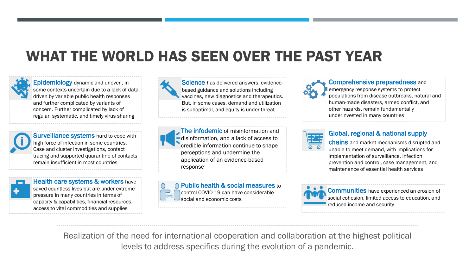# WHAT THE WORLD HAS SEEN OVER THE PAST YEAR



Epidemiology dynamic and uneven, in some contexts uncertain due to a lack of data, driven by variable public health responses and further complicated by variants of concern. Further complicated by lack of regular, systematic, and timely virus sharing



Surveillance systems hard to cope with high force of infection in some countries. Case and cluster investigations, contact tracing and supported quarantine of contacts remain insufficient in most countries



Health care systems & workers have saved countless lives but are under extreme pressure in many countries in terms of capacity & capabilities, financial resources, access to vital commodities and supplies



Science has delivered answers, evidencebased guidance and solutions including vaccines, new diagnostics and therapeutics. But, in some cases, demand and utilization is suboptimal, and equity is under threat



The infodemic of misinformation and disinformation, and a lack of access to credible information continue to shape perceptions and undermine the application of an evidence-based response





Comprehensive preparedness and emergency response systems to protect populations from disease outbreaks, natural and human-made disasters, armed conflict, and other hazards, remain fundamentally underinvested in many countries



#### Global, regional & national supply

chains and market mechanisms disrupted and unable to meet demand, with implications for implementation of surveillance, infection prevention and control, case management, and maintenance of essential health services



**Communities** have experienced an erosion of social cohesion, limited access to education, and reduced income and security

Realization of the need for international cooperation and collaboration at the highest political levels to address specifics during the evolution of a pandemic.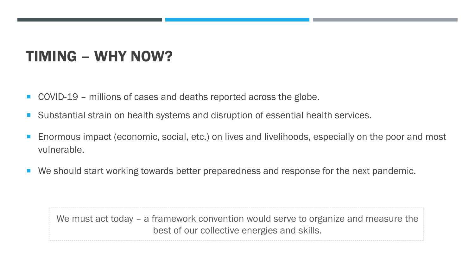# TIMING – WHY NOW?

- COVID-19 millions of cases and deaths reported across the globe.
- Substantial strain on health systems and disruption of essential health services.
- Enormous impact (economic, social, etc.) on lives and livelihoods, especially on the poor and most vulnerable.
- We should start working towards better preparedness and response for the next pandemic.

We must act today – a framework convention would serve to organize and measure the best of our collective energies and skills.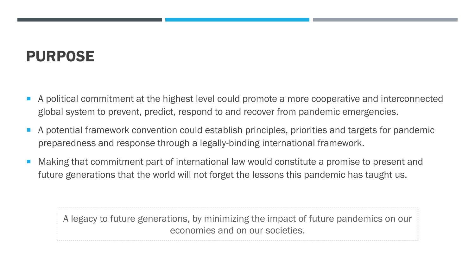# PURPOSE

- A political commitment at the highest level could promote a more cooperative and interconnected global system to prevent, predict, respond to and recover from pandemic emergencies.
- A potential framework convention could establish principles, priorities and targets for pandemic preparedness and response through a legally-binding international framework.
- Making that commitment part of international law would constitute a promise to present and future generations that the world will not forget the lessons this pandemic has taught us.

A legacy to future generations, by minimizing the impact of future pandemics on our economies and on our societies.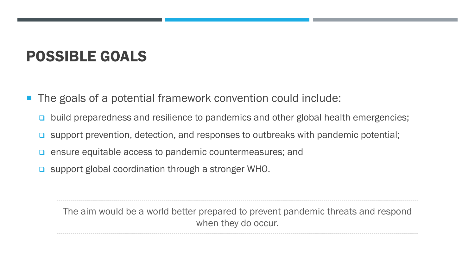# POSSIBLE GOALS

■ The goals of a potential framework convention could include:

- $\Box$  build preparedness and resilience to pandemics and other global health emergencies;
- **□** support prevention, detection, and responses to outbreaks with pandemic potential;
- **E** ensure equitable access to pandemic countermeasures; and
- □ support global coordination through a stronger WHO.

The aim would be a world better prepared to prevent pandemic threats and respond when they do occur.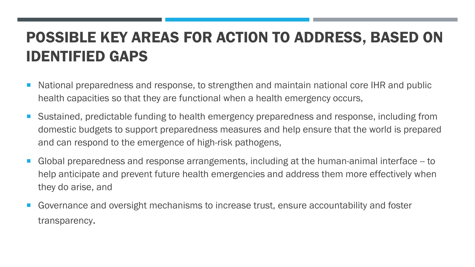# POSSIBLE KEY AREAS FOR ACTION TO ADDRESS, BASED ON IDENTIFIED GAPS

- National preparedness and response, to strengthen and maintain national core IHR and public health capacities so that they are functional when a health emergency occurs,
- Sustained, predictable funding to health emergency preparedness and response, including from domestic budgets to support preparedness measures and help ensure that the world is prepared and can respond to the emergence of high-risk pathogens,
- Global preparedness and response arrangements, including at the human-animal interface -- to help anticipate and prevent future health emergencies and address them more effectively when they do arise, and
- Governance and oversight mechanisms to increase trust, ensure accountability and foster transparency.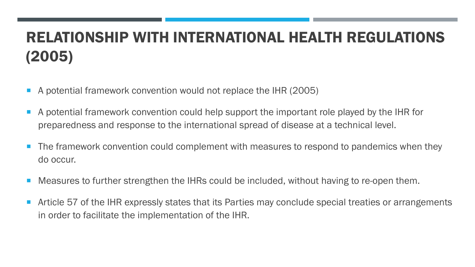# RELATIONSHIP WITH INTERNATIONAL HEALTH REGULATIONS (2005)

- A potential framework convention would not replace the IHR (2005)
- A potential framework convention could help support the important role played by the IHR for preparedness and response to the international spread of disease at a technical level.
- The framework convention could complement with measures to respond to pandemics when they do occur.
- Measures to further strengthen the IHRs could be included, without having to re-open them.
- Article 57 of the IHR expressly states that its Parties may conclude special treaties or arrangements in order to facilitate the implementation of the IHR.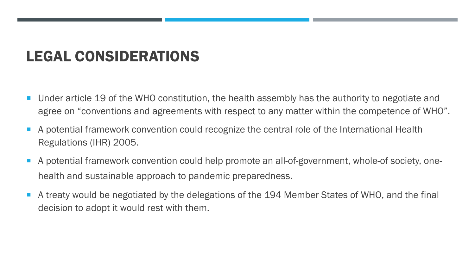# LEGAL CONSIDERATIONS

- Under article 19 of the WHO constitution, the health assembly has the authority to negotiate and agree on "conventions and agreements with respect to any matter within the competence of WHO".
- A potential framework convention could recognize the central role of the International Health Regulations (IHR) 2005.
- A potential framework convention could help promote an all-of-government, whole-of society, onehealth and sustainable approach to pandemic preparedness.
- A treaty would be negotiated by the delegations of the 194 Member States of WHO, and the final decision to adopt it would rest with them.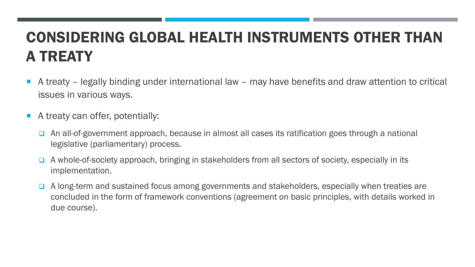# CONSIDERING GLOBAL HEALTH INSTRUMENTS OTHER THAN A TREATY

- A treaty legally binding under international law may have benefits and draw attention to critical issues in various ways.
- A treaty can offer, potentially:
	- $\Box$  An all-of-government approach, because in almost all cases its ratification goes through a national legislative (parliamentary) process.
	- $\Box$  A whole-of-society approach, bringing in stakeholders from all sectors of society, especially in its implementation.
	- A long-term and sustained focus among governments and stakeholders, especially when treaties are concluded in the form of framework conventions (agreement on basic principles, with details worked in due course).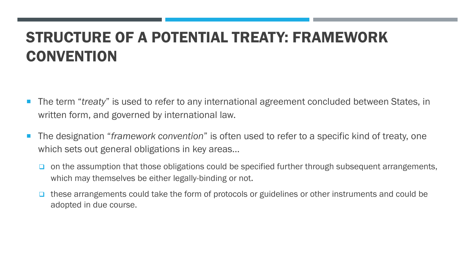# STRUCTURE OF A POTENTIAL TREATY: FRAMEWORK **CONVENTION**

- **The term "***treaty***"** is used to refer to any international agreement concluded between States, in written form, and governed by international law.
- The designation "*framework convention*" is often used to refer to a specific kind of treaty, one which sets out general obligations in key areas…
	- $\Box$  on the assumption that those obligations could be specified further through subsequent arrangements, which may themselves be either legally-binding or not.
	- $\Box$  these arrangements could take the form of protocols or guidelines or other instruments and could be adopted in due course.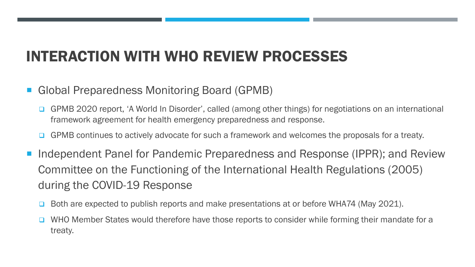# INTERACTION WITH WHO REVIEW PROCESSES

#### Global Preparedness Monitoring Board (GPMB)

- □ GPMB 2020 report, 'A World In Disorder', called (among other things) for negotiations on an international framework agreement for health emergency preparedness and response.
- $\Box$  GPMB continues to actively advocate for such a framework and welcomes the proposals for a treaty.
- Independent Panel for Pandemic Preparedness and Response (IPPR); and Review Committee on the Functioning of the International Health Regulations (2005) during the COVID-19 Response
	- □ Both are expected to publish reports and make presentations at or before WHA74 (May 2021).
	- WHO Member States would therefore have those reports to consider while forming their mandate for a treaty.